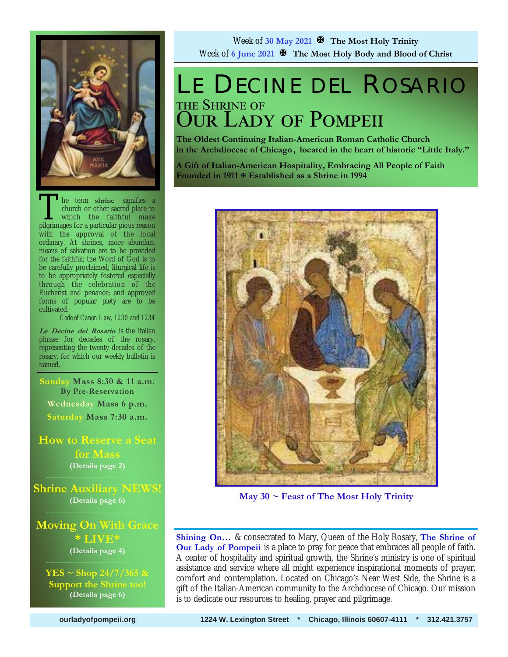

The term shrine signifies a<br>church or other sacred place to<br>which the faithful make<br>pilgrimages for a particular pious reason church or other sacred place to which the faithful make pilgrimages for a particular pious reason with the approval of the local ordinary. At shrines, more abundant means of salvation are to be provided for the faithful; the Word of God is to be carefully proclaimed; liturgical life is to be appropriately fostered especially through the celebration of the Eucharist and penance; and approved forms of popular piety are to be cultivated.

*Code of Canon Law, 1230 and 1234* 

**Le Decine del Rosario** is the Italian phrase for decades of the rosary, representing the twenty decades of the rosary, for which our weekly bulletin is named.

**Sunday Mass 8:30 & 11 a.m. By Pre-Reservation Wednesday Mass 6 p.m. Saturday Mass 7:30 a.m.** 

**How to Reserve a Seat for Mass (Details page 2)** 

**Shrine Auxiliary NEWS! (Details page 6)** 

**Moving On With Grace \* LIVE\* (Details page 4)** 

**YES ~ Shop 24/7/365 & Support the Shrine too! (Details page 6)**

Week of **30 May 2021 The Most Holy Trinity** Week of **6 June 2021 The Most Holy Body and Blood of Christ**

# LE DECINE DEL ROSARIO THE SHRINE OF **OUR LADY OF POMPEII**

**The Oldest Continuing Italian-American Roman Catholic Church in the Archdiocese of Chicago , located in the heart of historic "Little Italy."** 

**A Gift of Italian-American Hospitality, Embracing All People of Faith Founded in 1911 Established as a Shrine in 1994**



**May 30 ~ Feast of The Most Holy Trinity** 

**Shining On…** & consecrated to Mary, Queen of the Holy Rosary, **The Shrine of Our Lady of Pompeii** is a place to pray for peace that embraces all people of faith. A center of hospitality and spiritual growth, the Shrine's ministry is one of spiritual assistance and service where all might experience inspirational moments of prayer, comfort and contemplation. Located on Chicago's Near West Side, the Shrine is a gift of the Italian-American community to the Archdiocese of Chicago. Our mission is to dedicate our resources to healing, prayer and pilgrimage.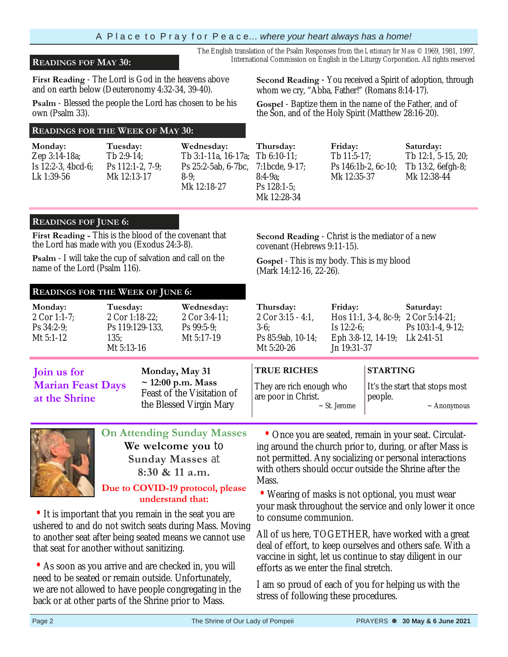### **READINGS FOF MAY 30:** International Commission on English in the Liturgy Corporation. All rights reserved

**First Reading** - The Lord is God in the heavens above and on earth below (Deuteronomy 4:32-34, 39-40).

**Psalm** - Blessed the people the Lord has chosen to be his own (Psalm 33).

### **READINGS FOR THE WEEK OF MAY 30:**

**Monday:**  Zep 3:14-18a; Is 12:2-3, 4bcd-6; Lk 1:39-56

**Tuesday:**  Tb 2:9-14; Ps 112:1-2, 7-9; Mk 12:13-17 **Wednesday:**  Ps 25:2-5ab, 6-7bc, 8-9; Mk 12:18-27

**Second Reading** - You received a Spirit of adoption, through whom we cry, "Abba, Father!" (Romans 8:14-17).

**Gospel** - Baptize them in the name of the Father, and of the Son, and of the Holy Spirit (Matthew 28:16-20).

**Second Reading** - Christ is the mediator of a new

**Gospel** - This is my body. This is my blood

The English translation of the Psalm Responses from the *Lectionary for Mass* © 1969, 1981, 1997,

Tb 3:1-11a, 16-17a; Tb 6:10-11; **Thursday:**  7:1bcde, 9-17; 8:4-9a; Ps 128:1-5; Mk 12:28-34 **Friday:**  Tb 11:5-17; Mk 12:35-37

covenant (Hebrews 9:11-15).

Ps 146:1b-2, 6c-10; **Saturday:**  Tb 12:1, 5-15, 20; Tb 13:2, 6efgh-8; Mk 12:38-44

### **READINGS FOF JUNE 6:**

**First Reading -** This is the blood of the covenant that the Lord has made with you (Exodus 24:3-8).

**Psalm** - I will take the cup of salvation and call on the name of the Lord (Psalm 116).

### **READINGS FOR THE WEEK OF JUNE 6:**

**Tuesday: Wednesday: Thursday: Friday: Saturday:** 

(Mark 14:12-16, 22-26).

**Monday:** 2 Cor 1:1-7; Ps 34:2-9; Mt 5:1-12 2 Cor 1:18-22; Ps 119:129-133, 135; Mt 5:13-16 2 Cor 3:4-11; Ps 99:5-9; Mt 5:17-19 2 Cor 3:15 - 4:1, 3-6; Ps 85:9ab, 10-14; Mt 5:20-26 Hos 11:1, 3-4, 8c-9; 2 Cor 5:14-21; Is 12:2-6; Eph 3:8-12, 14-19; Lk 2:41-51 Jn 19:31-37 Ps 103:1-4, 9-12; **Join us for Marian Feast Days at the Shrine Monday, May 31**  ~ **12:00 p.m. Mass** Feast of the Visitation of the Blessed Virgin Mary **TRUE RICHES**  They are rich enough who are poor in Christ. ~ St. Jerome **STARTING** It's the start that stops most people.  $\sim$  Anonymous



**We welcome you** to **Sunday Masses** at **8:30 & 11 a.m. Due to COVID-19 protocol, please** 

**understand that:**

• It is important that you remain in the seat you are ushered to and do not switch seats during Mass. Moving to another seat after being seated means we cannot use that seat for another without sanitizing.

• As soon as you arrive and are checked in, you will need to be seated or remain outside. Unfortunately, we are not allowed to have people congregating in the back or at other parts of the Shrine prior to Mass.

 • Once you are seated, remain in your seat. Circulating around the church prior to, during, or after Mass is not permitted. Any socializing or personal interactions with others should occur outside the Shrine after the **Mass** 

• Wearing of masks is not optional, you must wear your mask throughout the service and only lower it once to consume communion.

All of us here, TOGETHER, have worked with a great deal of effort, to keep ourselves and others safe. With a vaccine in sight, let us continue to stay diligent in our efforts as we enter the final stretch.

I am so proud of each of you for helping us with the stress of following these procedures.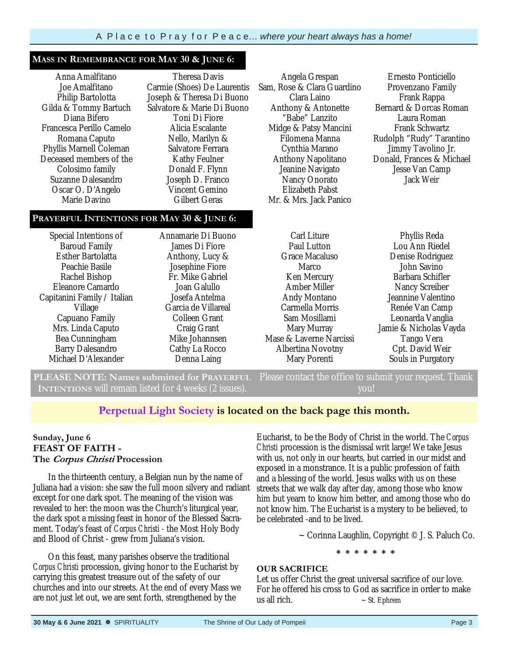#### **MASS IN REMEMBRANCE FOR MAY 30 & JUNE 6:**

Anna Amalfitano Joe Amalfitano Philip Bartolotta Gilda & Tommy Bartuch Diana Bifero Francesca Perillo Camelo Romana Caputo Phyllis Marnell Coleman Deceased members of the Colosimo family Suzanne Dalesandro Oscar O. D'Angelo Marie Davino

Theresa Davis Carmie (Shoes) De Laurentis Joseph & Theresa Di Buono Salvatore & Marie Di Buono Toni Di Fiore Alicia Escalante Nello, Marilyn & Salvatore Ferrara Kathy Feulner Donald F. Flynn Joseph D. Franco Vincent Gemino Gilbert Geras

### **PRAYERFUL INTENTIONS FOR MAY 30 & JUNE 6:**

Special Intentions of Baroud Family Esther Bartolatta Peachie Basile Rachel Bishop Eleanore Camardo Capitanini Family / Italian Village Capuano Family Mrs. Linda Caputo Bea Cunningham Barry Dalesandro Michael D'Alexander Annamarie Di Buono James Di Fiore Anthony, Lucy & Josephine Fiore Fr. Mike Gabriel Joan Galullo Josefa Antelma Garcia de Villareal Colleen Grant Craig Grant Mike Johannsen Cathy La Rocco Denna Laing

Angela Grespan Sam, Rose & Clara Guardino Clara Laino Anthony & Antonette "Babe" Lanzito Midge & Patsy Mancini Filomena Manna Cynthia Marano Anthony Napolitano Jeanine Navigato Nancy Onorato Elizabeth Pabst Mr. & Mrs. Jack Panico

Ernesto Ponticiello Provenzano Family Frank Rappa Bernard & Dorcas Roman Laura Roman Frank Schwartz Rudolph "Rudy" Tarantino Jimmy Tavolino Jr. Donald, Frances & Michael Jesse Van Camp Jack Weir

Carl Liture Paul Lutton Grace Macaluso Marco Ken Mercury Amber Miller Andy Montano Carmella Morris Sam Mosillami Mary Murray Mase & Laverne Narcissi Albertina Novotny Mary Porenti

Lou Ann Riedel Denise Rodriguez John Savino Barbara Schifler Nancy Screiber Jeannine Valentino Renée Van Camp Leonarda Vanglia Jamie & Nicholas Vayda Tango Vera Cpt. David Weir Souls in Purgatory

Phyllis Reda

**PLEASE NOTE: Names submitted for PRAYERFUL INTENTIONS** will remain listed for 4 weeks (2 issues). Please contact the office to submit your request. Thank you!

### **Perpetual Light Society is located on the back page this month.**

### **Sunday, June 6 FEAST OF FAITH - The Corpus Christi Procession**

 In the thirteenth century, a Belgian nun by the name of Juliana had a vision: she saw the full moon silvery and radiant except for one dark spot. The meaning of the vision was revealed to her: the moon was the Church's liturgical year, the dark spot a missing feast in honor of the Blessed Sacrament. Today's feast of *Corpus Christi -* the Most Holy Body and Blood of Christ - grew from Juliana's vision.

 On this feast, many parishes observe the traditional *Corpus Christi* procession, giving honor to the Eucharist by carrying this greatest treasure out of the safety of our churches and into our streets. At the end of every Mass we are not just let out, we are sent forth, strengthened by the

Eucharist, to be the Body of Christ in the world. The *Corpus Christi* procession is the dismissal writ large! We take Jesus with us, not only in our hearts, but carried in our midst and exposed in a monstrance. It is a public profession of faith and a blessing of the world. Jesus walks with us on these streets that we walk day after day, among those who know him but yearn to know him better, and among those who do not know him. The Eucharist is a mystery to be believed, to be celebrated -and to be lived.

 $\sim$  Corinna Laughlin, Copyright © J. S. Paluch Co.

**\* \* \* \* \* \* \*** 

#### **OUR SACRIFICE**

Let us offer Christ the great universal sacrifice of our love. For he offered his cross to God as sacrifice in order to make us all rich.  $\sim$  St. Ephrem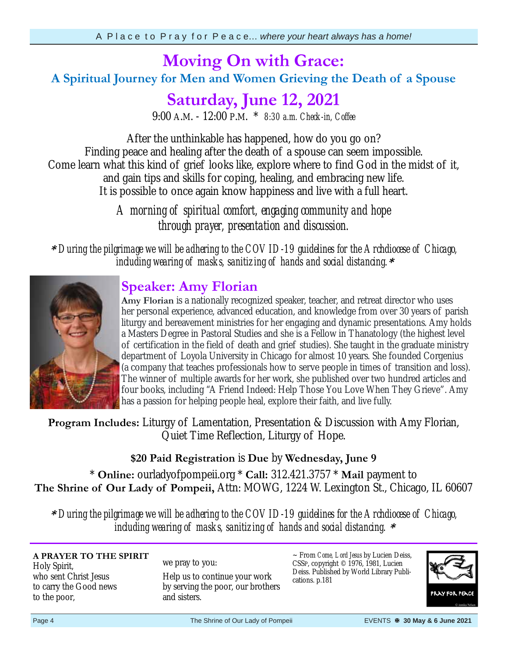# **Moving On with Grace:**

### **A Spiritual Journey for Men and Women Grieving the Death of a Spouse**

# **Saturday, June 12, 2021**

9:00 A.M. - 12:00 P.M. \* *8:30 a.m. Check-in, Coffee*

After the unthinkable has happened, how do you go on? Finding peace and healing after the death of a spouse can seem impossible. Come learn what this kind of grief looks like, explore where to find God in the midst of it, and gain tips and skills for coping, healing, and embracing new life. It is possible to once again know happiness and live with a full heart.

> *A morning of spiritual comfort, engaging community and hope through prayer, presentation and discussion.*

**\*** *During the pilgrimage we will be adhering to the COVID-19 guidelines for the Archdiocese of Chicago, including wearing of masks, sanitizing of hands and social distancing.***\***

### **Speaker: Amy Florian**

**Amy Florian** is a nationally recognized speaker, teacher, and retreat director who uses her personal experience, advanced education, and knowledge from over 30 years of parish liturgy and bereavement ministries for her engaging and dynamic presentations. Amy holds a Masters Degree in Pastoral Studies and she is a Fellow in Thanatology (the highest level of certification in the field of death and grief studies). She taught in the graduate ministry department of Loyola University in Chicago for almost 10 years. She founded Corgenius (a company that teaches professionals how to serve people in times of transition and loss). The winner of multiple awards for her work, she published over two hundred articles and four books, including "A Friend Indeed: Help Those You Love When They Grieve". Amy has a passion for helping people heal, explore their faith, and live fully.

**Program Includes:** Liturgy of Lamentation, Presentation & Discussion with Amy Florian, Quiet Time Reflection, Liturgy of Hope.

### **\$20 Paid Registration** is **Due** by **Wednesday, June 9**

\* **Online:** ourladyofpompeii.org \* **Call:** 312.421.3757 \* **Mail** payment to **The Shrine of Our Lady of Pompeii,** Attn: MOWG, 1224 W. Lexington St., Chicago, IL 60607

**\*** *During the pilgrimage we will be adhering to the COVID-19 guidelines for the Archdiocese of Chicago, including wearing of masks, sanitizing of hands and social distancing.* **\***

### **A PRAYER TO THE SPIRIT**

Holy Spirit, who sent Christ Jesus to carry the Good news to the poor,

#### we pray to you:

Help us to continue your work by serving the poor, our brothers and sisters.

~ From *Come, Lord Jesus* by Lucien Deiss, CSSP, copyright © 1976, 1981, Lucien Deiss. Published by World Library Publications. p.181

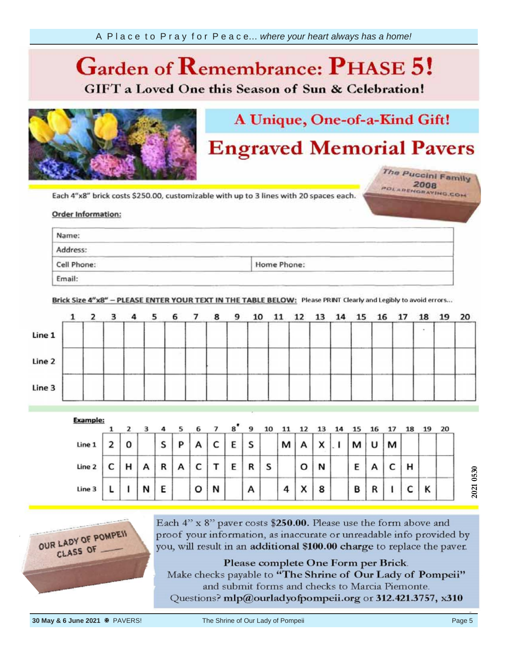### **Garden of**  *Ca* **GIFT** a Loved One this Season of Sun & Celebration!



# A Unique, One-of-a-Kind Gift!

# **Engraved Memorial Pavers**

The Puccini Family POLARENGRAVING.COM

your information, Each 4"x8"

### Order info provided by the provided by the provided by the property of the property of the property of the property of the property of the property of the property of the property of the property of the property of the property of th

| Name:                                            |                                                                                                                                                                                                                                         |  |
|--------------------------------------------------|-----------------------------------------------------------------------------------------------------------------------------------------------------------------------------------------------------------------------------------------|--|
| Address:                                         | the contract of the contract of the contract of the contract of the contract of<br>and the state of the control of the control of the control of the control of the control of<br>the property of the property of the property<br>_____ |  |
| <b>Contract Contract Contract</b><br>Cell Phone: | <b>Committee of the Committee</b><br><b>Contract Contract Contract</b><br>and the contract of the contract of the<br>Home Phone:                                                                                                        |  |

Brick Size 4"x8" - PLEASE ENTER YOUR TEXT IN THE TABLE BELOW: Please PRINT Clearly and Legibly to avoid errors...

|        | $1\quad 2$ | 3 |       | 4 <sub>5</sub> | 6 7 | 89 | 10 |  | 11 12 13 14 15 16 17 |  |  | 18 | 19 20 |  |
|--------|------------|---|-------|----------------|-----|----|----|--|----------------------|--|--|----|-------|--|
| Line 1 |            |   |       |                |     |    |    |  |                      |  |  |    |       |  |
| Line 2 |            |   | ----- |                |     |    |    |  |                      |  |  |    |       |  |
| Line 3 |            |   |       |                |     |    |    |  |                      |  |  |    |       |  |

| <b>Example:</b> |   |   |   |   |   | ь |   | 8 | 9 |   |                |        |   |   |   |   |   |   | 20 |
|-----------------|---|---|---|---|---|---|---|---|---|---|----------------|--------|---|---|---|---|---|---|----|
| Line 1          |   | 0 |   | S | P | А | c | E | S |   | м              |        | X | м | υ | м |   |   |    |
| Line 2          | r | н | А | R | A | c |   | Е | R | S |                | o      | N | Ε |   | ֊ | н |   |    |
| Line 3          |   |   | N | E |   | o | N |   | А |   | $\overline{a}$ | $\sim$ | 8 | в | R |   |   | Κ |    |



Each 4" x 8" paver costs \$250.00. Please use the form above and proof your information, as inaccurate or unreadable info provided by you, will result in an additional \$100.00 charge to replace the paver.

Please complete One Form per Brick. Make checks payable to "The Shrine of Our Lady of Pompeii" and submit forms and checks to Marcia Piemonte. Questions? mlp@ourladyofpompeii.org or 312.421.3757, x310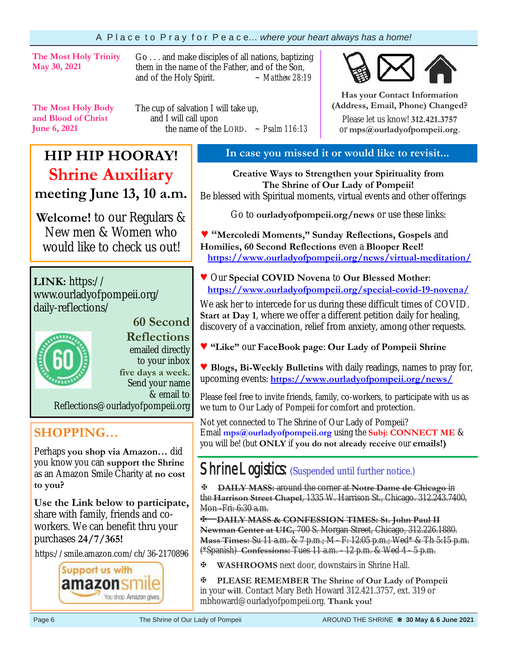### A P l a c e t o P r a y f o r P e a c e… *where your heart always has a home!*

**The Most Holy Trinity May 30, 2021** 

Go . . . and make disciples of all nations, baptizing them in the name of the Father, and of the Son, and of the Holy Spirit. *~ Matthew 28:19* 

**The Most Holy Body and Blood of Christ June 6, 2021** 

The cup of salvation I will take up, and I will call upon the name of the LORD.  $\sim$  *Psalm 116:13* 



**Has your Contact Information (Address, Email, Phone) Changed?**

Please let us know! **312.421.3757**  or **mps@ourladyofpompeii.org**.

# **HIP HIP HOORAY! Shrine Auxiliary meeting June 13, 10 a.m.**

**Welcome!** to our Regulars & New men & Women who would like to check us out!

**LINK:** https:// www.ourladyofpompeii.org/ daily-reflections/



### **60 Second Reflections**

emailed directly to your inbox **five days a week**. Send your name & email to

Reflections@ourladyofpompeii.org

### **SHOPPING…**

Perhaps **you shop via Amazon…** did you know you can **support the Shrine**  as an Amazon Smile Charity at **no cost to you?** 

**Use the Link below to participate,** share with family, friends and coworkers. We can benefit thru your purchases **24/7/365!**

https://smile.amazon.com/ch/36-2170896



### **In case you missed it or would like to revisit...**

**Creative Ways to Strengthen your Spirituality from The Shrine of Our Lady of Pompeii!**  Be blessed with Spiritual moments, virtual events and other offerings

Go to **ourladyofpompeii.org/news** or use these links:

**♥ "Mercoledi Moments," Sunday Reflections, Gospels** and **Homilies, 60 Second Reflections** even a **Blooper Reel! https://www.ourladyofpompeii.org/news/virtual-meditation/** 

**♥** Our **Special COVID Novena** to **Our Blessed Mother**:  **https://www.ourladyofpompeii.org/special-covid-19-novena/** 

We ask her to intercede for us during these difficult times of COVID. **Start at Day 1**, where we offer a different petition daily for healing, discovery of a vaccination, relief from anxiety, among other requests.

- **♥ "Like"** our **FaceBook page**: **Our Lady of Pompeii Shrine**
- **♥ Blogs, Bi-Weekly Bulletins** with daily readings, names to pray for, upcoming events: **https://www.ourladyofpompeii.org/news/**

Please feel free to invite friends, family, co-workers, to participate with us as we turn to Our Lady of Pompeii for comfort and protection.

Not yet connected to The Shrine of Our Lady of Pompeii? Email **mps@ourladyofpompeii.org** using the **Subj: CONNECT ME** & you will be! (but **ONLY** if **you do not already receive** our **emails!)**

## Shrine Logistics: (Suspended until further notice.)

**DAILY MASS:** around the corner at **Notre Dame de Chicago** in the **Harrison Street Chapel**, 1335 W. Harrison St., Chicago. 312.243.7400, Mon -Fri: 6:30 a.m.

**DAILY MASS & CONFESSION TIMES: St. John Paul II Newman Center at UIC,** 700 S. Morgan Street, Chicago, 312.226.1880. **Mass Times:** Su 11 a.m. & 7 p.m.; M - F: 12:05 p.m.; Wed\* & Th 5:15 p.m. (\*Spanish) **Confessions:** Tues 11 a.m. - 12 p.m. & Wed 4 - 5 p.m.

**WASHROOMS** next door, downstairs in Shrine Hall.

**PLEASE REMEMBER The Shrine of Our Lady of Pompeii**  in your **will**. Contact Mary Beth Howard 312.421.3757, ext. 319 or mbhoward@ourladyofpompeii.org. **Thank you!**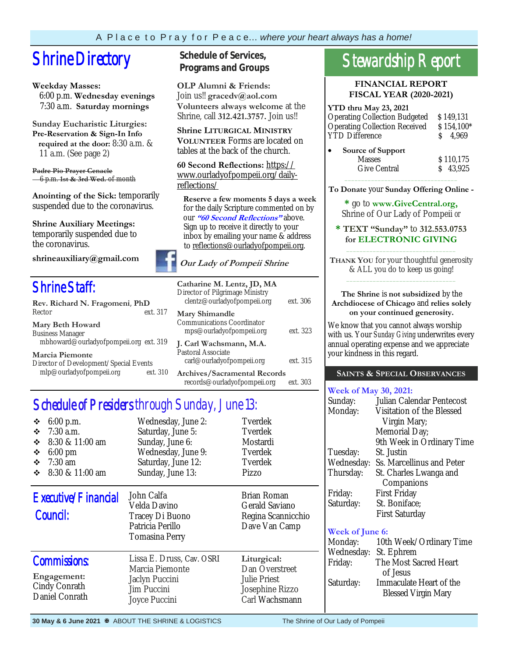# **Shrine Directory** Schedule of Services,

#### **Weekday Masses:**

 6:00 p.m. **Wednesday evenings** 7:30 a.m. **Saturday mornings**

**Sunday Eucharistic Liturgies: Pre-Reservation & Sign-In Info required at the door:** 8:30 a.m. & 11 a.m. (See page 2)

**Padre Pio Prayer Cenacle** 6 p.m. **1st & 3rd Wed.** of month

**Anointing of the Sick:** temporarily suspended due to the coronavirus.

**Shrine Auxiliary Meetings:**  temporarily suspended due to the coronavirus.

**shrineauxiliary@gmail.com** 

# Shrine Staff:

| Rev. Richard N. Fragomeni, PhD                                                                                                                                                                                                                                                                 |          |  |  |  |
|------------------------------------------------------------------------------------------------------------------------------------------------------------------------------------------------------------------------------------------------------------------------------------------------|----------|--|--|--|
| Rector                                                                                                                                                                                                                                                                                         | ext. 317 |  |  |  |
| <b>Mary Beth Howard</b>                                                                                                                                                                                                                                                                        |          |  |  |  |
| <b>Business Manager</b>                                                                                                                                                                                                                                                                        |          |  |  |  |
| mbhoward@ourladyofpompeii.org ext. 319                                                                                                                                                                                                                                                         |          |  |  |  |
| <b>Marcia Piemonte</b>                                                                                                                                                                                                                                                                         |          |  |  |  |
| $\mathbb{R}^n$ is the $\mathbb{R}^n$ if $\mathbb{R}^n$ if $\mathbb{R}^n$ if $\mathbb{R}^n$ if $\mathbb{R}^n$ if $\mathbb{R}^n$ if $\mathbb{R}^n$ if $\mathbb{R}^n$ if $\mathbb{R}^n$ if $\mathbb{R}^n$ if $\mathbb{R}^n$ if $\mathbb{R}^n$ if $\mathbb{R}^n$ if $\mathbb{R}^n$ if $\mathbb{R}$ |          |  |  |  |

| Director of Development/Special Events |          |
|----------------------------------------|----------|
| mlp@ourladyofpompeii.org               | ext. 310 |

# **Programs and Groups**

**OLP Alumni & Friends:**  Join us!! **gracedv@aol.com Volunteers always welcome** at the Shrine, call **312.421.3757.** Join us!!

**Shrine LITURGICAL MINISTRY VOLUNTEER** Forms are located on tables at the back of the church.

**60 Second Reflections:** https:// www.ourladyofpompeii.org/dailyreflections/

 **Reserve a few moments 5 days a week**  for the daily Scripture commented on by our **"60 Second Reflections"** above. Sign up to receive it directly to your inbox by emailing your name & address to reflections@ourladyofpompeii.org.

### **Our Lady of Pompeii Shrine**

| Catharine M. Lentz, JD, MA<br>Director of Pilgrimage Ministry<br>clentz@ourladyofpompeii.org | ext. 306 |
|----------------------------------------------------------------------------------------------|----------|
| Mary Shimandle<br>Communications Coordinator<br>mps@ourladyofpompeii.org                     | ext. 323 |
| J. Carl Wachsmann, M.A.<br>Pastoral Associate<br>carl@ourladyofpompeii.org                   | ext. 315 |
| <b>Archives/Sacramental Records</b><br>records@ourladyofpompeii.org                          | ext. 303 |

# Schedule of Presiders through Sunday, June 13:

| $6:00$ p.m.<br>❖<br>$7:30$ a.m.<br>❖<br>8:30 & 11:00 am<br>❖<br>❖<br>$6:00 \text{ pm}$<br>❖<br>$7:30$ am<br>8:30 & 11:00 am<br>❖ | Wednesday, June 2:<br>Saturday, June 5:<br>Sunday, June 6:<br>Wednesday, June 9:<br>Saturday, June 12:<br>Sunday, June 13: | Tverdek<br>Tverdek<br>Mostardi<br>Tverdek<br>Tverdek<br>Pizzo                      |
|----------------------------------------------------------------------------------------------------------------------------------|----------------------------------------------------------------------------------------------------------------------------|------------------------------------------------------------------------------------|
| Executive/Financial<br>Council:                                                                                                  | John Calfa<br>Velda Davino<br>Tracey Di Buono<br>Patricia Perillo<br>Tomasina Perry                                        | Brian Roman<br>Gerald Saviano<br>Regina Scannicchio<br>Dave Van Camp               |
| <b>Commissions:</b><br>Engagement:<br>Cindy Conrath<br>Daniel Conrath                                                            | Lissa E. Druss, Cav. OSRI<br>Marcia Piemonte<br>Jaclyn Puccini<br>Jim Puccini<br>Joyce Puccini                             | Liturgical:<br>Dan Overstreet<br>Julie Priest<br>Josephine Rizzo<br>Carl Wachsmann |

### **FINANCIAL REPORT FISCAL YEAR (2020-2021)**

| YTD thru May 23, 2021                |            |
|--------------------------------------|------------|
| <b>Operating Collection Budgeted</b> | \$149,131  |
| <b>Operating Collection Received</b> | \$154,100* |
| <b>YTD</b> Difference                | 4,969      |
| Source of Support                    |            |
| <b>Masses</b>                        | \$110,175  |
| <b>Give Central</b>                  | \$43.925   |

 $\overline{\phantom{a}}$  ,  $\overline{\phantom{a}}$  ,  $\overline{\phantom{a}}$  ,  $\overline{\phantom{a}}$  ,  $\overline{\phantom{a}}$  ,  $\overline{\phantom{a}}$  ,  $\overline{\phantom{a}}$  ,  $\overline{\phantom{a}}$  ,  $\overline{\phantom{a}}$  ,  $\overline{\phantom{a}}$  ,  $\overline{\phantom{a}}$  ,  $\overline{\phantom{a}}$  ,  $\overline{\phantom{a}}$  ,  $\overline{\phantom{a}}$  ,  $\overline{\phantom{a}}$  ,  $\overline{\phantom{a}}$ **To Donate** your **Sunday Offering Online -** 

**\*** go to **www.GiveCentral.org,** Shrine of Our Lady of Pompeii *or* 

#### **\* TEXT "Sunday"** to **312.553.0753 for ELECTRONIC GIVING** \_\_\_\_\_\_\_\_\_\_\_\_\_\_\_\_\_\_\_\_\_\_\_\_\_\_\_\_\_\_\_\_\_

**THANK YOU** for your thoughtful generosity & ALL you do to keep us going! \_\_\_\_\_\_\_\_\_\_\_\_\_\_\_\_\_\_\_\_\_\_\_\_\_\_\_\_\_\_\_\_\_

#### **The Shrine** is **not subsidized** by the **Archdiocese of Chicago** and **relies solely on your continued generosity.**

We know that you cannot always worship with us. Your *Sunday Giving* underwrites every annual operating expense and we appreciate your kindness in this regard.

### **SAINTS & SPECIAL OBSERVANCES**

### **Week of May 30, 2021:**

| Sunday:    | Julian Calendar Pentecost |
|------------|---------------------------|
| Monday:    | Visitation of the Blessed |
|            | Virgin Mary;              |
|            | Memorial Day;             |
|            | 9th Week in Ordinary Time |
| Tuesday:   | St. Justin                |
| Wednesday: | Ss. Marcellinus and Peter |
| Thursday:  | St. Charles Lwanga and    |
|            | Companions                |
| Friday:    | <b>First Friday</b>       |
| Saturday:  | St. Boniface;             |
|            | <b>First Saturday</b>     |
|            |                           |

### **Week of June 6:**

| Monday:    | 10th Week/Ordinary Time    |
|------------|----------------------------|
| Wednesday: | St. Ephrem                 |
| Friday:    | The Most Sacred Heart      |
|            | of Jesus                   |
| Saturday:  | Immaculate Heart of the    |
|            | <b>Blessed Virgin Mary</b> |
|            |                            |